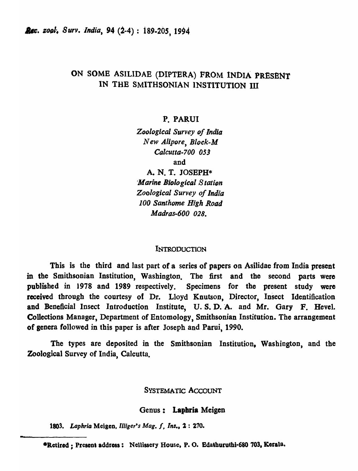# ON SOME ASILIDAE (DIPTERA) FROM INDIA PRESENT IN THE SMITHSONIAN INSTITUTION III

# **P. PARUI**

**Zoological Survey of India** *New Alipore, Block-M Calcutta-700 053*  and

A. N. T. JOSEPH\* *Marine Biological Station Zoological Survey of India 100 Santhome High Road*  Madras-600 *028.* 

# **INTRODUCTION**

This is the third and last part of a series of papers on Asilidae from India present in the Smithsonian Institution, Washington. The first and the second parts were published in 1978 and 1989 respectively. Specimens for the present study were received through the courtesy of Dr. Lloyd Knutson, Director, Insect Identification and Beneficial Insect Introduction Institute, U.S.D.A. and Mr. Gary F. Hevel. Collections Manager, Department of Entomology, Smithsonian Institution. The arrangement of genera followed in this paper is after Joseph and Parui, 1990.

The types are deposited in the Smithsonian Institution, Washington, and the Zoological Survey of India, Calcutta.

# SYSTEMATIC ACCOUNT

## Genus: Lapbria Meigen

*1803. Lophrla* Meigen, *IllIger's Mog. I, Ins.,* 2 : 210.

\*Retired; Present address: Nellissery House, P.O. Edathuruthi-680 703, Kerala.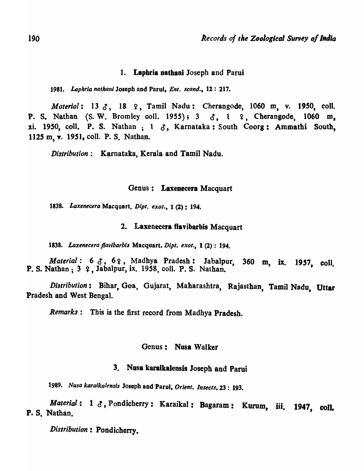# 1. Laphria nathaui Joseph and Parui

1981. Laphria nathani Joseph and Parui, *Ent. scand.*, 12: 217.

*Material:* 13  $\delta$ , 18  $\epsilon$ , Tamil Nadu: Cherangode, 1060 m, v. 1950, coll. P. S. Nathan (S. W. Bromley coll. 1955);  $3 \leq \zeta$ , 1  $\zeta$ , Cherangode, 1060 m, xi. 1950, coll. P. S. Nathan ;  $1 \delta$ , Karnataka: South Coorg: Ammathi South, *112S* m, Y. 1951, colI. P. S. Nathan.

*Distribution:* Karnatata, Kerala and Tamil Nadu.

## Genus: Laxenecera Macquart

*1838. Laxenecera* Macquart, *Dipt. exot.,* 1 (2): 194.

## 2. Laxenecera flavibarbis Macquart

*1838. Laxenecera flavlbarb;,* Macquart, *Dipt. exot.,* 1 (2) : 194.

*Material:* 6  $3$ , 6  $2$ , Madhya Pradesh: Jabalpur, 360 m, ix. 1957, coll. P. S. Nathan; 3 9, Jabalpur, ix. 1958, coll. P. S. Nathan.

*Distribution* : Bihar, Goa, Gujarat, Maharashtra, Rajasthan, Tamil Nadu, Uttar Pradesh and West Bengal.

*Remarks:* This is the first record from Madhya Pradesh.

#### Genus: Nusa Walker

# 3. Nusa karalkaiensis Joseph and Parui

*1989. Nusa karaikalensis* Joseph and Parul, *Orient. Insects,* 23: 193.

*Material*: 1  $\delta$ , Pondicherry: Karaikal: Bagaram: Kurum, iii. 1947, coll.<br>P. S. Nathan.

 $Distriolution:$  Pondicherry.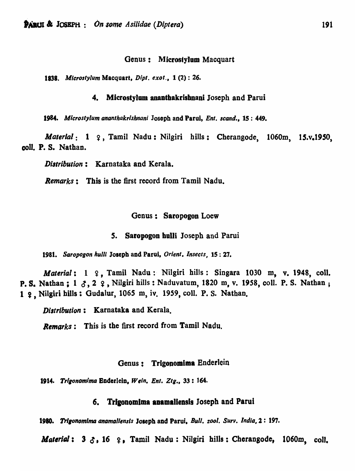#### Genus: Microstylum Macquart

*1838. Mlcroslylum* Macquart, *Dipt. exot.,* 1 (2) : 26.

# 4. Microstylum ananthakrishnani Joseph and Parui

*1984. Mlcrostylum ananthakrlshnani* Josoph and Parui, *Ent. scand.,* 15: 449.

*Material*: 1  $\varphi$ , Tamil Nadu: Nilgiri hills: Cherangode, 1060m, 15.v.1950, coll. P. S. Nathan.

*Distribution:* Karnataka and Kerala.

*Remarks:* This is the first record from Tamil Nadu.

#### Genus: Saropogon Loew

#### **5. Saropogon hulli Joseph and Parui**

*1981. Saropogon hulll* JOleph and Parui, *Orient. Insects,* 15: 27.

*Material*: 1 ?, Tamil Nadu: Nilgiri hills: Singara 1030 m, v. 1948, coll. P. S. Nathan:  $1 \text{ } \mathcal{J}, 2 \text{ } \mathcal{L}, 1$  Nilgiri hills: Naduvatum, 1820 m, v. 1958, coll. P. S. Nathan; 1 2. Nilgiri hills: Gudalur, 1065 m, iv. 1959, coll. P. S. Nathan.

*Distribution*: Karnataka and Kerala.

*Remarks:* This is the first record from Tamil Nadu.

# Genus: Trigonomima Enderlein

1914. Trigonomima Enderlein, *Wein. Ent. Ztg.*, 33: 164.

# 6. Trigonomima anamaliensis Joseph and Parui

**1980.** Trigonomima anamaliensis Joseph and Parui, *Bull. zool. Surv. India*, 2: 197.

Material:  $3 \delta$ , 16  $\epsilon$ , Tamil Nadu: Nilgiri hills: Cherangode, 1060m, coll.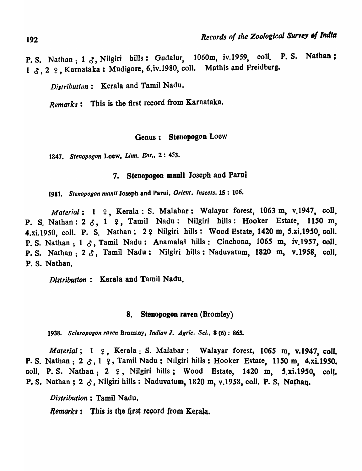P. S. Nathan;  $1 \text{ } \mathcal{S}$ , Nilgiri bills: Gudalur, 1060m, iv.1959, coll. P. S. Nathan; 1  $\delta$ , 2  $\varphi$ , Karnataka: Mudigore, 6.iv.1980, coll. Mathis and Freidberg.

*Distribution*: Kerala and Tamil Nadu.

*Remarks:* Tbis is the first record from Karnataka.

# Genus: Stenopogon Loew

*1847. Stenopogon* Loew. *Linn. Ent.,* 2: 453.

# 7. Stenopogon manii Joseph and Parui

1981. Stenopogon manii Joseph and Parui, Orient. Insects, 15: 106.

Material: 1 ?, Kerala: S. Malabar: Walayar forest, 1063 m, v.1947, coll. P. S. Nathan:  $2 \, \delta$ , 1  $\varphi$ , Tamil Nadu: Nilgiri hills: Hooker Estate, 1150 m, 4.xi.1950, coll. P. S. Nathan; 2 & Nilgiri hills: Wood Estate, 1420 m, 5.xi.1950, coll. P. S. Nathan; 1  $\delta$ , Tamil Nadu: Anamalai hills: Cinchona, 1065 m, iv.1957, coll. P. S. Nathan; 2  $\delta$ , Tamil Nadu: Nilgiri hills: Naduvatum, 1820 m, v.1958, coll. P. S. Nathan.

Distribution: Kerala and Tamil Nadu.

# 8. Stenopogon raven (Bromley)

*1938. Scleropogon raven* Bromley. *Indian* J. *Agric. Sci.,* 8 (6): 865.

*Material*; 1  $\varphi$ , Kerala: S. Malabar: Walayar forest, 1065 m, v.1947, coll. P. S. Nathan,  $2 \delta$ , 1  $9$ , Tamil Nadu: Nilgiri hills: Hooker Estate, 1150 m, 4.xi.1950. coll. P. S. Nathan;  $2 \quad 2 \quad 4$ , Nilgiri hills; Wood Estate, 1420 m, 5.xi.1950, coll. P. S. Nathan; 2  $\delta$ , Nilgiri hills: Naduvatum, 1820 m, v.1958, coll. P. S. Nathan.

*Distribution* : Tamil Nadu.

*Remarks*: This is the first record from Kerala.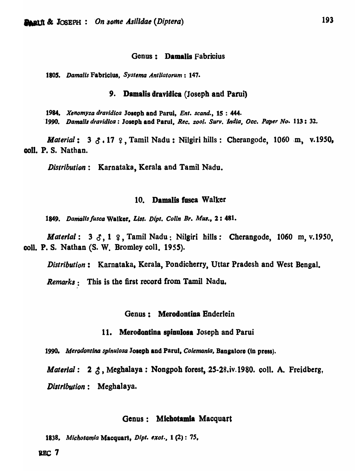#### Genus: Damalis Fabricius

1805. *Damalis Fabricius, Systema Antliatorum*: 147.

## 9. Damalis dravidica (Joseph and Parui)

1984. *Xenomyza dravidica* Joseph and Parui, *Ent. scand.*, 15:444. 1990. Damalis dravidica: Joseph and Parul, *Rec. zool. Surv. India, Occ. Paper No.* 113: 32.

*Material*: 3  $\zeta$ . 17  $\zeta$ , Tamil Nadu: Nilgiri hills: Cherangode, 1060 m, v.1950, coli. P. S. Nathan.

*Distribution*: Karnataka, Kerala and Tamil Nadu.

## 10. Damalis fusca Walker

1849. Damalis fusca Walker, List. Dipt. Colln Br. Mus., 2: 481.

*Material*: 3  $\delta$ , 1  $\epsilon$ , Tamil Nadu: Nilgiri hills: Cherangode, 1060 m, v.1950, coli. P. S. Nathan (8. W. Bromley coil. *1955).* 

*Distribution:* Karnataka. Kerala, Pondicherry, Uttar Pradesh and West Bengal.

*Remarks:* This is the first record from Tamil Nadu.

#### Genus: Merodontiaa Enderlein

#### 11. Merodontina spinulosa Joseph and Parui

1990. Merodontina spinulosa Joseph and Parul, *Colemania*, Bangalore (in press).

*Material*: 2  $\zeta$ , Meghalaya: Nongpoh forest, 25-28.iv.1980. coll. A. Freidberg,

*Distribution:* Meghalaya.

"

#### Genus: Mlchotamla Macquart

1838. *Michotamia* Macquart, *Dipt. exot.*, 1(2): 75,

REC 7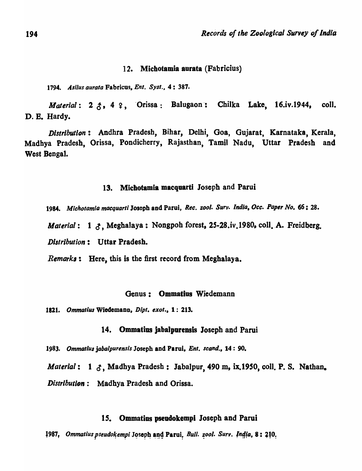# 12. Micbotamia aurata (Fabricius)

*1794. .4si/us aurala* Fabricus. *Ent. Syst .•* 4: 387.

*Material: 2*  $\uparrow$ *, 4 \vertiff \condoty Chilka Lake, 16.iv.1944, coll.* D. B. Hardy.

*Distribution:* Andhra Pradesh, Bihar, Delhi, G08, Gujarat, Karnataka, Kerala, Madhya Pradesh, Orissa, Pondicherry, Rajasthan, Tamil Nadu, Uttar Pradesh and West Bengal.

# 13. Michotamia maequarti Joseph and Parui

1984. Michotamia macquarti Joseph and Parui, *Rec. zool. Surv. India*, Occ. Paper No. 66: 28.

*Material:* 1  $\delta$ , Meghalaya: Nongpob forest, 25-28.iv.1980, coll. A. Freidberg.

*Distribution:* Uttar Pradesh.

*Remark,:* Here, this is the first record from Meghalaya.

# Genus: Ommatius Wiedemann

1821. Ommatius Wiedemann, Dipt. exot., 1: 213.

## 14. Ommatius jabalpurensis Joseph and Parui

*1983. Ommallul jaba/purensis* Joseph and Parui. *Ent. scand .•* 14: 90.

*Material:* 1  $\delta$ , Madhya Pradesh: Jabalpur, 490 m, ix.1950, coll. P. S. Nathan. *Distribution:* Madhya Pradesh and Orissa.

#### *IS.* Ommatius pseudokempl Joseph and Parui

1987, *Ommatius pseudokempi Joseph and Parui, Bull. zool. Surv. India, 8: 210.*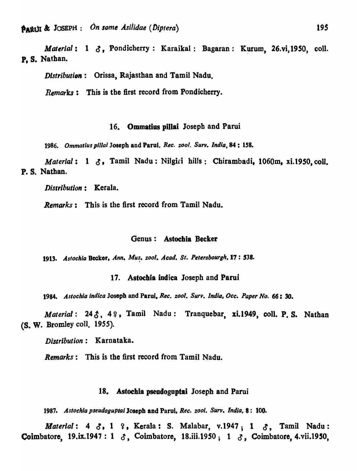**PARUI & JOSEPH**: *On some Asilidae (Diptera)* 195

*Material*: 1  $\delta$ , Pondicherry: Karaikal: Bagaran: Kurum, 26.vi,1950, coll. P. S. Nathan.

*Distribution*: Orissa, Rajasthan and Tamil Nadu.

*Remarks:* This is the first record from Pondicherry.

# 16. Ommatius pillai Joseph and Parui

*1986. Ommat;us pilla;* Joseph and Parul. *Rec. zool. Surv. India,* 84: *lS8.* 

*Material:* 1  $\delta$ , Tamil Nadu: Nilgiri hills: Chirambadi, 1060m, xi.1950, coll. P.8. Nathan.

*Distribution*: Kerala.

*Remarks:* This is the first record from Tamil Nadu.

# Genus: Astoehia Beeker

1913. Astochia Becker, Ann. Mus. zool. Acad. St. Petersbourgh, 17: 538.

17. Astoehia indica Joseph and Parui

*1984. Astochia indica* Josepb and Parui, *Rec. zool. Surv. Indla,Occ. Paper No.* 66: 30.

*Material:* 24 $\delta$ , 4 $\Omega$ , Tamil Nadu: Tranquebar, xi.1949, coll. P.S. Nathan (8. W. Bromley coli. 1955).

*Distribution*: Karnataka.

*Remarks*: This is the first record from Tamil Nadu.

### 18. Astochia pseudoguptai Joseph and Parui

1987. Astochia pseudoguptai Joseph and Parui, *Rec. zool. Surv. India*, 8: 100.

*Material:* 4  $\delta$ , 1  $\gamma$ , Kerala: S. Malabar, v.1947; 1  $\delta$ , Tamil Nadu: Coimbatore, 19.ix.1947: 1  $\delta$ , Coimbatore, 18.iii.1950; 1  $\delta$ , Coimbatore, 4.vii.1950,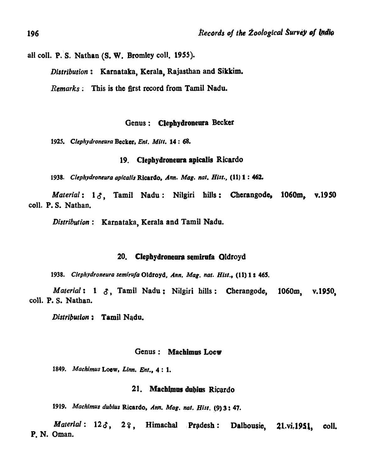all coll. P. S. Nathan (S. W. Bromley coll. 1955).

*Distribution:* Karnataka, Kerala, Rajasthan and Sikkim.

*Remarks;* This is the first record from Tamil Nadu.

# Genus: Clephydroneura Becker

*1925. Cltphydroneura* Becker, *Ent. Milt.* 14: 68.

## 19. Clepbydroneara apicalis Ricardo

1938. Clephydroneura apicalis Ricardo, *Ann. Mag. nat. Hist.*, (11) 1 : 462.

*Material*: 13, Tamil Nadu: Nilgiri hills: Cherangode, 1060m, v.1950 coil, P. S. Nathan.

*Distribution:* Karnataka, Kerala and Tamil Nadu.

# 20. Clephydroneura semirufa Oldroyd

1938. Clephydroneura semirufa Oldroyd, Ann. Mag. nat. Hist., (11) 1: 465.

*Material: 1 3, Tamil Nadu: Nilgiri hills: Cherangode, 1060m, v.1950,* colI. P. S. Nathan.

*Distribution* : Tamil Nadu.

# Genus: Machimas Locw

*1849. Machimus* Loew, *Linn. Ent.,* 4 : 1.

# 21. Machimus dubius Ricardo

*1919. Machlmus dublus* Ricardo, *Ann. Mog. nat. Hisl.* (9) 3: 47.

Material: 123, 22, Himachal Pradesh: Dalhousie, 21.vi.1951, coll. p. N. Oman.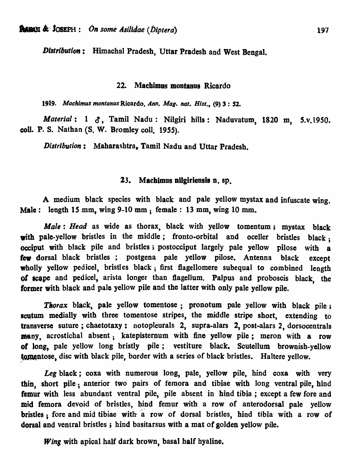*DistributioN:* Himachal Pradesh, Uttar Pradesh and West Bengal.

## 22. Machimas montanus Ricardo

*1919. Machimus montanus* Ricardo, *Ann. Mag. nat. Hist ••* (9) 3 : 52.

*Material*: 1  $\delta$ , Tamil Nadu: Nilgiri hills: Naduvatum, 1820 m, 5.v.1950. coll. P. S. Nathan (S. W. Bromley coll. 1955).

*Distribution:* Maharashtra, Tamil Nadu and Uttar Pradesh.

# 23. Machimus nilgiriensis n. sp.

A medium black species with black and pale yellow mystax and infuscate wing. Male: length 15 mm, wing 9-10 mm; female: 13 mm, wing 10 mm.

*Male: Head* as wide as thorax, black with yellow tomentum; mystax black with pale-yellow bristles in the middle; fronto-orbital and oceller bristles black; occiput with black pile and bristles; postocciput largely pale yellow pilose with a lew dorsal black bristles; postgena pale yellow pilose. Antenna black except wholly yellow pedicel, bristles black; first flagellomere subequal to combined length *01* eoope and pedicel, arista longer than flagellum. Palpus and proboscis black, the former with black and pale yellow pile and the latter with only pale yellow pile.

Thorax black, pale yellow tomentose; pronotum pale yellow with black pile; scutum medially with three tomentose stripes, the middle stripe short, extending to transverse suture; chaetotaxy: notopleurals 2, supra-alars 2, post-alars 2, dorsocentrals many, acrostichal absent; katepisternum with fine yellow pile; meron with a row of long, pale yellow long bristly pile; vestiture black. Scutellum brownish-yellow tomentose, disc with black pile, border with a series of black bristles. Haltere yellow.

*Leg* black; coxa with numerous long, pale, yellow pile, hind coxa with very thin, short pile; anterior two pairs of femora and tibiae with long ventral pile, hind femur with less abundant ventral pile, pile absent in hind tibia; except a few fore and mid femora devoid of bristles, hind femur with a row of anterodorsal pale yellow bristles; fore and mid tibiae with a row of dorsal bristles, hind tibia with a row of dorsal and ventral bristles; hind basitarsus with a mat of golden yellow pile.

*Wing* with apical half dark brown, basal half hyaline.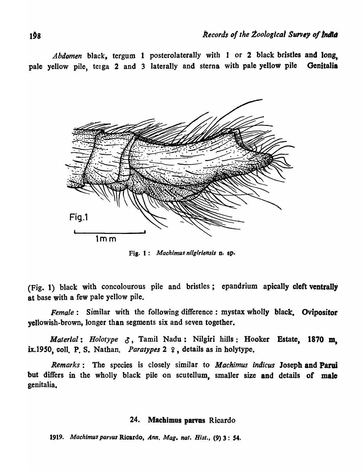Abdomen black, tergum 1 posterolaterally with 1 or 2 black bristles and long. pale yellow pile, teiga 2 and 3 laterally and sterna with pale yellow pile Genitalia



Fig. 1: *Machimus nilgiriensis* n. sp.

(Fig. 1) black with concolourous pile and bristles; epandrium apically cleft ventrally at base with a few pale yellow pile.

*Female*: Similar with the following difference: mystax wholly black. Ovipositor yellowish-brown, longer than segments six and seven together.

*Material: Holotype* 0, Tamil Nadu: Nilgiri hills: Hooker Estate, 1870 m. ix.1950, coll. P. S. Nathan. *Paratypes* 2  $\varphi$ , details as in holytype.

*Remarks:* The species is closely similar to *M achimus indicus* Joseph and Parui but differs in the wholly black pile on scutellum, smaller size and details of male genitalia.

# 24. Machimus parvus Ricardo

1919. Machimus parvus Ricardo, Ann. Mag. nat. *Hist.*, (9) 3: 54.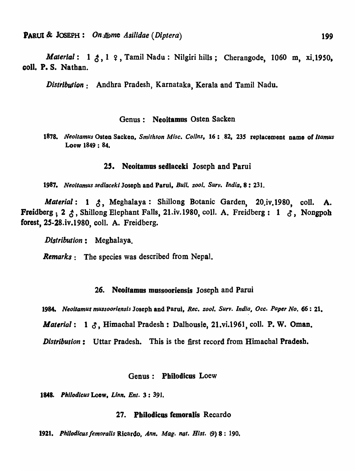*Material*: 1  $\zeta$ , 1  $\varphi$ , Tamil Nadu: Nilgiri hills; Cherangode, 1060 m, xi.1950, coli. P. S. Natban.

*Distribution:* Andhra Pradesh, Karnataka, Kerala and Tamil Nadu.

# Genus: Neoitamus Osten Sacken

*1878. jVeollamus* Oston Sacken, *Smithson Misc. Collns,* 16: .82, *23S* replacement name of *Ilamus*  Loew 1849 : 84.

## 25. Neoitamus sedlaceki Joseph and Parui

*1987. Neoitamus sedlaceki* Joseph and Parui, *Bull. zool. Surv. India,* 8: 231.

*Material: 1 3, Meghalaya: Shillong Botanic Garden, 20.iv.1980, coll. A.* Freidberg; 2  $\zeta$ , Shillong Elephant Falls, 21.iv.1980, coll. A. Freidberg: 1  $\zeta$ , Nongpoh forest, 2S-28.iv.1980, colI. A. Freidberg.

*Distribution:* Megbalaya.

*Remarks:* The species was described from Nepal.

## 26. Neoitamus mussooriensis Joseph and Parui

1984. Neoitamus mussooriensis Joseph and Parui, *Rec. zool. Surv. India, Occ. Paper No.* 66: 21.

*Material:* 1  $\delta$ , Himachal Pradesh: Dalhousie, 21.vi.1961, coll. P. W. Oman.

*Distribution*: Uttar Pradesh. This is the first record from Himachal Pradesh.

## Genus: Pbilodicus Loew

*1848. Philodlcus* Loow, *Linn. Ent.* 3: 391.

#### 27. Pbilodicas femoralis Recardo

*1921. Phi/odieus femoralls* Rlcar4o~ *Ann. Mag. nat. Hist.* (9) 8: 190,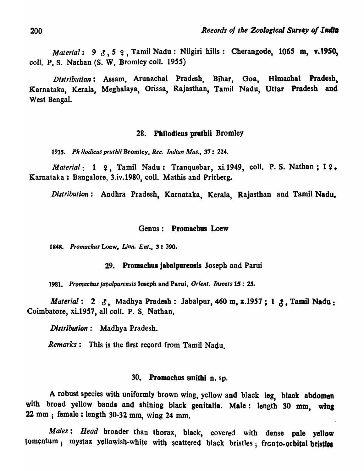*Material*: 9  $3.5$   $9.7$  Tamil Nadu: Nilgiri hills: Cherangode, 1065 m, v.1950, coll. P. S. Nathan (S. W. Bromley coll. 1955)

Distributian: Assam, Arunachal Pradesh, Bihar, Goa, Himachal Pradesh, Karnataka, Kerala, Meghalaya, Orissa, Rajasthan, Tamil Nadu, Uttar Pradesh and West Bengal.

# 28. Pbilodicus prothii Bromley

*1935. Ph ilodicus pruthii* Bromley, *Rec. Indian Mus.,* 37: 224.

*Material*: 1 ?, Tamil Nadu: Tranquebar, xi.1949, coll. P. S. Nathan; 1?, Karnataka: Bangalore, 3.iv.1980, coli. Mathis and Pritberg.

*Distribution:* Andhra Pradesh, Karnataka, Kerala, Rajasthan and Tamil Nadu.

## Genus: Promachus Loew

*1848. Promachus* Loew. *Linn. Ent.#* 3: *390.* 

# 29. Promacbus jabalporensis Joseph and Parui

*1981. Promachus jabalpurensis* Joseph and Parui, *Orient. Insects* 15: 25.

*Material*: 2  $\delta$ , Madhya Pradesh: Jabalpur, 460 m, x.1957; 1  $\delta$ , Tamil Nadu: Coimbatore, xi.1957, all colI. P. S. Nathan.

*Distribution:* Madhya Pradesh.

*Remarks:* This is the first record from Tamil Nadu.

# 30. Promachus smithi n. sp.

A robust species with uniformly brown wing, yellow and black leg, black abdomen with broad yellow bands and shining black genitalia. Male: length 30 mm, wing 22 mm; female: length 30-32 mm, wing 24 mm.

*Males: Head* broader than thorax, black, covered with dense pale yellow tomentum; mystax yellowish-white with scattered black bristles; fronto-orbital bristles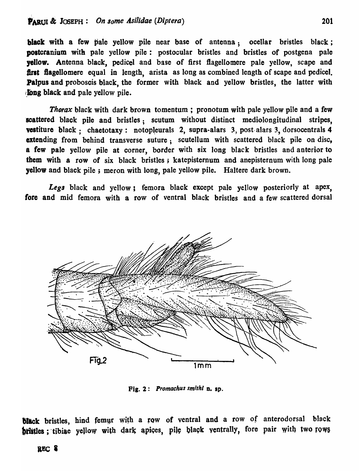black with a few pale yellow pile near base of antenna; ocellar bristles black; postcranium with pale yellow pile: postocular bristles and bristles of postgena pale yellow. Antenna black, pedicel and base of first flagellomere pale yellow, scape and first flagellomere equal in length, arista as long as combined length of scape and pedicel. Palpus and proboscis black, the former with black and yellow bristles, the latter with fong black and pale yellow pile.

Thorax black with dark brown tomentum; pronotum with pale yellow pile and a few scattered black pile and bristles; scutum without distinct mediolongitudinal stripes. vestiture black; chaetotaxy: notopleurals 2, supra-alars 3, post-alars 3, dorsocentrals 4 extending from behind transverse suture; scutellum with scattered black pile on disc, a few pale yellow pile at corner, border with six long black bristles and anterior to them with a row of six black bristles; katepisternum and anepisternum with long pale yellow and black pile; meron with long, pale yellow pile. HaItere dark brown.

Legs black and yellow; femora black except pale yellow posteriorly at apex, fore and mid femora with a row of ventral black bristles and a few scattered dorsal



Fig. 2: *Promachu9 smlthl* D. sp.

black bristles, hind femur with a row of ventral and a row of anterodorsal black bristles; tibiae yellow with dark apices, pile black ventrally, fore pair with two rows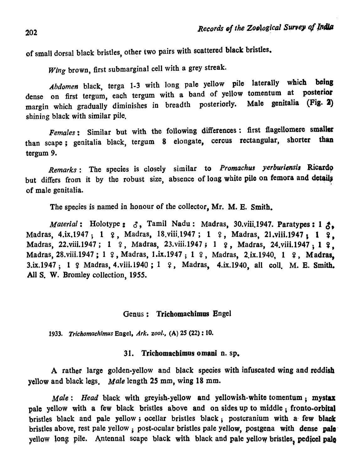of small dorsal black bristles, other two pairs with scattered black bristles.

*Wing* brown, first submarginal cell with a grey streak.

*Abdomen* black, terga 1-3 with long pale yellow pile laterally which being dense on first tergum, each tergum with a band of yellow tomentum at posterior margin which gradually diminishes in breadth posteriorly. Male genitalia (Fig. 2) shining black with similar pile.

*Females:* Similar but with the following differences: first fiagellomere smaller than scape; genitalia black, tergum 8 elongate, cercus rectangular, shorter than tergum 9.

*Remarks*: The species is closely similar to *Promachus yerburiensis* Ricardo but differs from it by the robust size, absence of long white pile on femora and details of male genitalia.

The species is named in honour of the collector, Mr. M. E. Smith.

*Material*: Holotype:  $\delta$ , Tamil Nadu: Madras, 30.viii.1947. Paratypes: 1  $\delta$ . Madras, 4.ix.1947; 1 ?, Madras, 18.viii.1947; 1 ?, Madras, 21.viii.1947; 1 ?, Madras, 22.viii.1947; 1 ?, Madras, 23.viii.1947; 1 ?, Madras, 24.viii.1947; 1 ?, Madras, 28.viii.1947; 1 º, Madras, 1.ix.1947; 1 º, Madras, 2.ix.1940, 1 º, Madras, 3.ix.1947; 1 º Madras, 4. viii.1940; 1 º, Madras, 4. ix.1940, all coll. M. E. Smith. All S. W. Bromley collection, 1955.

#### Genus: Trichomachimus Engel

*1933. Trichomachimus* Engel. *Ark. zool.,* (A) 25 (22) : 10.

# 31. Trichomachimus 0 mani n. sp.

A rather large golden-yellow and black species with infuscated wing and reddish yellow and black legs. *Male* length 25 mm, wing 18 mm.

*Male: Head black with greyish-yellow and yellowish-white tomentum; mystax* pale yellow with a few black bristles above and on sides up to middle; fronto-orbital bristles black and pale yellow; ocellar bristles black; postcranium with a· few black bristles above, rest pale yellow; post-ocular bristles pale yellow, postgena with dense pale yellow long pile. Antennal scape black with black and pale yellow bristles, pedicel palo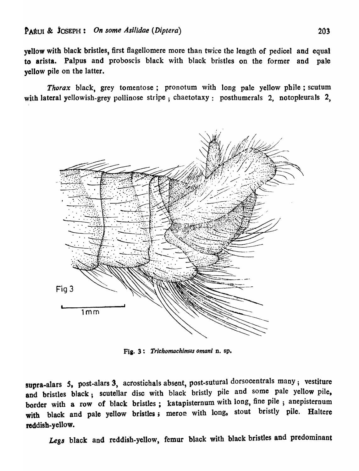yellow with black bristles, first fiagellomere more than twice the length of pedicel and equal to arista. PaJpus and proboscis black with black bristles on the former and pale yellow pile on the latter.

*Thorax* black, grey tomentose; pronotum with long pale yellow phile ; scutum with lateral yellowish-grey pollinose stripe; chaetotaxy: posthumerals 2, notopleurals 2,



Fia. 3: *Trichomachimus omanl* D. sp.

supra-alars 5, post-alars 3, acrostichals absent, post-sutural dorsocentrals many; vestiture and bristles black; scutellar disc with black bristly pile and some pale yellow pile, border with a row of black bristles; katapisternum with long, fine pile; anepisternum with black and pale yellow bristles; meron with long, stout bristly pile. Haltere reddish-yellow.

Legs black and reddish-yellow, femur black with black bristles and predominant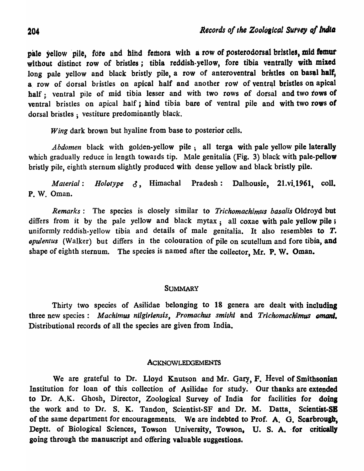pale yellow pile, fore and hind femora with a row of posterodorsal bristles, mid fomur without distinct row of bristles; tibia reddish-yellow, fore tibia ventrally with mixed long pale yellow and black bristly pile, a row of anteroventral bristles on basal half, a row of dorsal bristles on apical half and another row of ventral bristles on apical half; ventral pile of mid tibia lesser and with two rows of dorsal and two rows of ventral bristles on apical half; hind tibia bare of ventral pile and with two rows of dorsal bristles; vestiture predominantly black.

*Wing* dark brown but hyaline from base to posterior cells.

*Abdomen* black with golden-yellow pile; all terga with pale yellow pile laterally which gradually reduce in length towards tip. Male genitalia (Fig. 3) black with pale-pellow bristly pile, eighth sternum slightly produced with dense yellow and black bristly pile.

*Material: Holotype* 0, Himachal Pradesh: Dalhousie, 21.vi.1961, coli. P. W. Oman.

*Remarks:* The species is closely similar to *Trichomachimus basalis* Oldroyd but differs from it by the pale yellow and black mytax; all coxae with pale yellow pile; uniformly reddish-yellow tibia and details of male genitalia. It also resembles to T. *opulentus* (Walker) but differs in the colouration of pile on scutellum and fore tibia, and shape of eighth sternum. The species is named after the collector, Mr. P. W. Oman.

# **SUMMARY**

Thirty two species of Asilidae belonging to 18 genera are dealt with including three new species: *Machimus nilgiriensis*, *Promachus smithi* and *Trichomachimus omani*. Distributional records of all the species are given from India.

## ACKNOWLEDGEMENTS

We are grateful to Dr. Lloyd Knutson and Mr. Gary, F. Hevel of Smithsonian Institution for loan of this collection of Asilidae for study. Our thanks are extended to Dr. A.K. Ghosh, Director, Zoological Survey of India for facilities for doing the work and to Dr. S. K. Tandon, Scientist-SF and Dr. M. Datta, Scientist-SB of the same department for encouragements. We are indebted to Prof. A. G. Scarbrough, Deptt. of Biological Sciences, Towson University, Towson, U. S. A. for critically going tbrousb the manuscript and offering valuable suggestions.